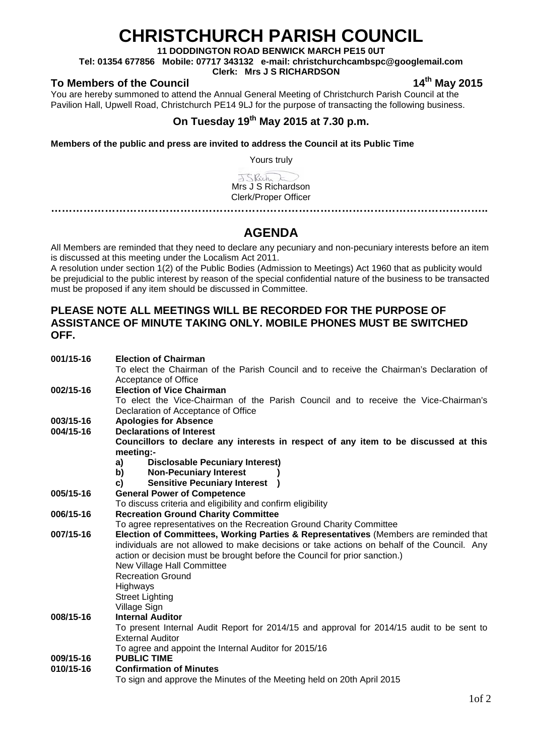# **CHRISTCHURCH PARISH COUNCIL**

**11 DODDINGTON ROAD BENWICK MARCH PE15 0UT**

**Tel: 01354 677856 Mobile: 07717 343132 e-mail: christchurchcambspc@googlemail.com**

**Clerk: Mrs J S RICHARDSON**

### To Members of the Council **14th** May 2015

You are hereby summoned to attend the Annual General Meeting of Christchurch Parish Council at the Pavilion Hall, Upwell Road, Christchurch PE14 9LJ for the purpose of transacting the following business.

## **On Tuesday 19th May 2015 at 7.30 p.m.**

**Members of the public and press are invited to address the Council at its Public Time** 

Yours truly

JSRich E Mrs J S Richardson Clerk/Proper Officer

**…………………………………………………………………………………………………………..**

## **AGENDA**

All Members are reminded that they need to declare any pecuniary and non-pecuniary interests before an item is discussed at this meeting under the Localism Act 2011.

A resolution under section 1(2) of the Public Bodies (Admission to Meetings) Act 1960 that as publicity would be prejudicial to the public interest by reason of the special confidential nature of the business to be transacted must be proposed if any item should be discussed in Committee.

#### **PLEASE NOTE ALL MEETINGS WILL BE RECORDED FOR THE PURPOSE OF ASSISTANCE OF MINUTE TAKING ONLY. MOBILE PHONES MUST BE SWITCHED OFF.**

| 001/15-16 | <b>Election of Chairman</b>                                                                 |  |  |  |
|-----------|---------------------------------------------------------------------------------------------|--|--|--|
|           | To elect the Chairman of the Parish Council and to receive the Chairman's Declaration of    |  |  |  |
|           | Acceptance of Office                                                                        |  |  |  |
| 002/15-16 | <b>Election of Vice Chairman</b>                                                            |  |  |  |
|           | To elect the Vice-Chairman of the Parish Council and to receive the Vice-Chairman's         |  |  |  |
|           | Declaration of Acceptance of Office                                                         |  |  |  |
| 003/15-16 | <b>Apologies for Absence</b>                                                                |  |  |  |
| 004/15-16 | <b>Declarations of Interest</b>                                                             |  |  |  |
|           | Councillors to declare any interests in respect of any item to be discussed at this         |  |  |  |
|           | meeting:-                                                                                   |  |  |  |
|           | <b>Disclosable Pecuniary Interest)</b><br>a)                                                |  |  |  |
|           | <b>Non-Pecuniary Interest</b><br>b)                                                         |  |  |  |
|           | <b>Sensitive Pecuniary Interest</b><br>C)                                                   |  |  |  |
| 005/15-16 | <b>General Power of Competence</b>                                                          |  |  |  |
|           | To discuss criteria and eligibility and confirm eligibility                                 |  |  |  |
| 006/15-16 | <b>Recreation Ground Charity Committee</b>                                                  |  |  |  |
|           | To agree representatives on the Recreation Ground Charity Committee                         |  |  |  |
| 007/15-16 | Election of Committees, Working Parties & Representatives (Members are reminded that        |  |  |  |
|           | individuals are not allowed to make decisions or take actions on behalf of the Council. Any |  |  |  |
|           | action or decision must be brought before the Council for prior sanction.)                  |  |  |  |
|           | New Village Hall Committee                                                                  |  |  |  |
|           | <b>Recreation Ground</b>                                                                    |  |  |  |
|           | Highways                                                                                    |  |  |  |
|           | <b>Street Lighting</b>                                                                      |  |  |  |
|           | Village Sign                                                                                |  |  |  |
| 008/15-16 | <b>Internal Auditor</b>                                                                     |  |  |  |
|           | To present Internal Audit Report for 2014/15 and approval for 2014/15 audit to be sent to   |  |  |  |
|           | <b>External Auditor</b>                                                                     |  |  |  |
|           | To agree and appoint the Internal Auditor for 2015/16                                       |  |  |  |
| 009/15-16 | <b>PUBLIC TIME</b>                                                                          |  |  |  |
| 010/15-16 | <b>Confirmation of Minutes</b>                                                              |  |  |  |
|           | To sign and approve the Minutes of the Meeting held on 20th April 2015                      |  |  |  |